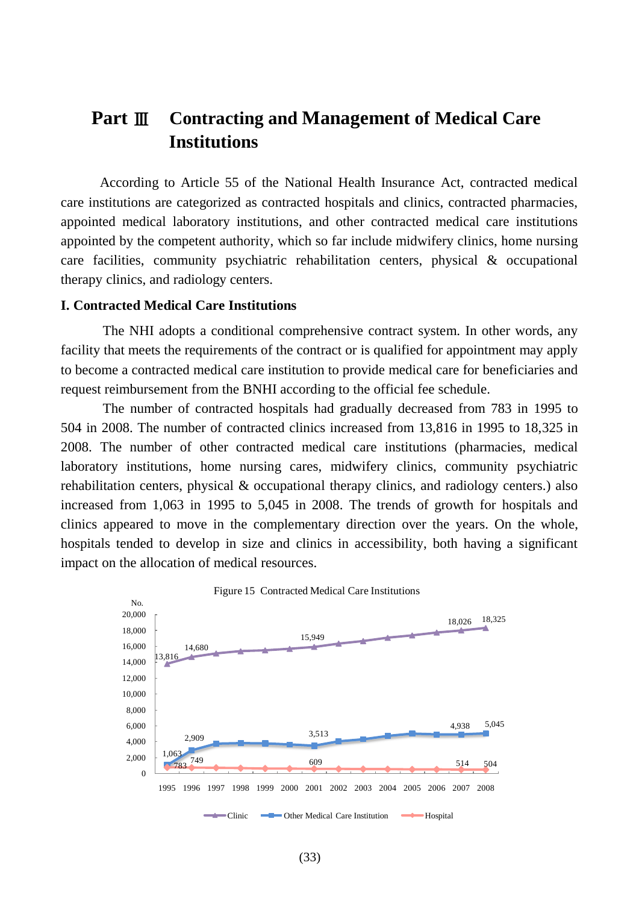# **Part** Ⅲ **Contracting and Management of Medical Care Institutions**

According to Article 55 of the National Health Insurance Act, contracted medical care institutions are categorized as contracted hospitals and clinics, contracted pharmacies, appointed medical laboratory institutions, and other contracted medical care institutions appointed by the competent authority, which so far include midwifery clinics, home nursing care facilities, community psychiatric rehabilitation centers, physical & occupational therapy clinics, and radiology centers.

### **I. Contracted Medical Care Institutions**

The NHI adopts a conditional comprehensive contract system. In other words, any facility that meets the requirements of the contract or is qualified for appointment may apply to become a contracted medical care institution to provide medical care for beneficiaries and request reimbursement from the BNHI according to the official fee schedule.

The number of contracted hospitals had gradually decreased from 783 in 1995 to 504 in 2008. The number of contracted clinics increased from 13,816 in 1995 to 18,325 in 2008. The number of other contracted medical care institutions (pharmacies, medical laboratory institutions, home nursing cares, midwifery clinics, community psychiatric rehabilitation centers, physical & occupational therapy clinics, and radiology centers.) also increased from 1,063 in 1995 to 5,045 in 2008. The trends of growth for hospitals and clinics appeared to move in the complementary direction over the years. On the whole, hospitals tended to develop in size and clinics in accessibility, both having a significant impact on the allocation of medical resources.

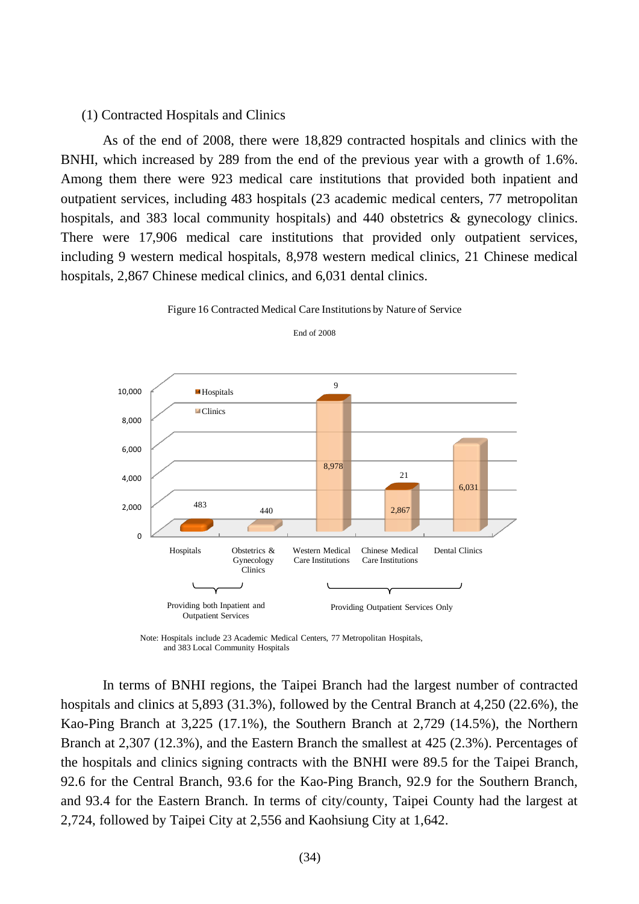### (1) Contracted Hospitals and Clinics

As of the end of 2008, there were 18,829 contracted hospitals and clinics with the BNHI, which increased by 289 from the end of the previous year with a growth of 1.6%. Among them there were 923 medical care institutions that provided both inpatient and outpatient services, including 483 hospitals (23 academic medical centers, 77 metropolitan hospitals, and 383 local community hospitals) and 440 obstetrics & gynecology clinics. There were 17,906 medical care institutions that provided only outpatient services, including 9 western medical hospitals, 8,978 western medical clinics, 21 Chinese medical hospitals, 2,867 Chinese medical clinics, and 6,031 dental clinics.



Figure 16 Contracted Medical Care Institutions by Nature of Service

End of 2008

In terms of BNHI regions, the Taipei Branch had the largest number of contracted hospitals and clinics at 5,893 (31.3%), followed by the Central Branch at 4,250 (22.6%), the Kao-Ping Branch at 3,225 (17.1%), the Southern Branch at 2,729 (14.5%), the Northern Branch at 2,307 (12.3%), and the Eastern Branch the smallest at 425 (2.3%). Percentages of the hospitals and clinics signing contracts with the BNHI were 89.5 for the Taipei Branch, 92.6 for the Central Branch, 93.6 for the Kao-Ping Branch, 92.9 for the Southern Branch, and 93.4 for the Eastern Branch. In terms of city/county, Taipei County had the largest at 2,724, followed by Taipei City at 2,556 and Kaohsiung City at 1,642.

Note: Hospitals include 23 Academic Medical Centers, 77 Metropolitan Hospitals, and 383 Local Community Hospitals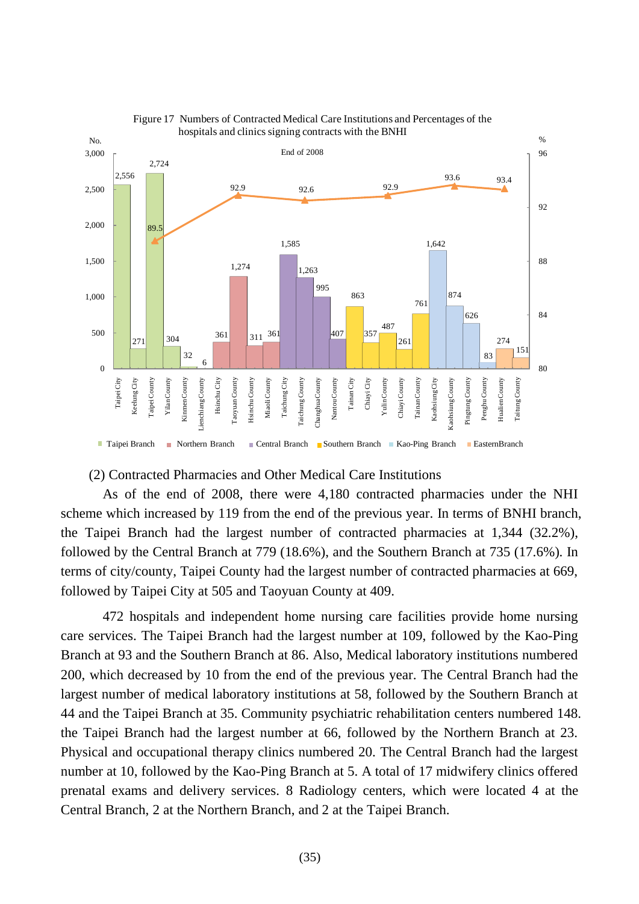

#### Figure 17 Numbers of Contracted Medical Care Institutions and Percentages of the hospitals and clinics signing contracts with the BNHI

## (2) Contracted Pharmacies and Other Medical Care Institutions

As of the end of 2008, there were 4,180 contracted pharmacies under the NHI scheme which increased by 119 from the end of the previous year. In terms of BNHI branch, the Taipei Branch had the largest number of contracted pharmacies at 1,344 (32.2%), followed by the Central Branch at 779 (18.6%), and the Southern Branch at 735 (17.6%). In terms of city/county, Taipei County had the largest number of contracted pharmacies at 669, followed by Taipei City at 505 and Taoyuan County at 409.

472 hospitals and independent home nursing care facilities provide home nursing care services. The Taipei Branch had the largest number at 109, followed by the Kao-Ping Branch at 93 and the Southern Branch at 86. Also, Medical laboratory institutions numbered 200, which decreased by 10 from the end of the previous year. The Central Branch had the largest number of medical laboratory institutions at 58, followed by the Southern Branch at 44 and the Taipei Branch at 35. Community psychiatric rehabilitation centers numbered 148. the Taipei Branch had the largest number at 66, followed by the Northern Branch at 23. Physical and occupational therapy clinics numbered 20. The Central Branch had the largest number at 10, followed by the Kao-Ping Branch at 5. A total of 17 midwifery clinics offered prenatal exams and delivery services. 8 Radiology centers, which were located 4 at the Central Branch, 2 at the Northern Branch, and 2 at the Taipei Branch.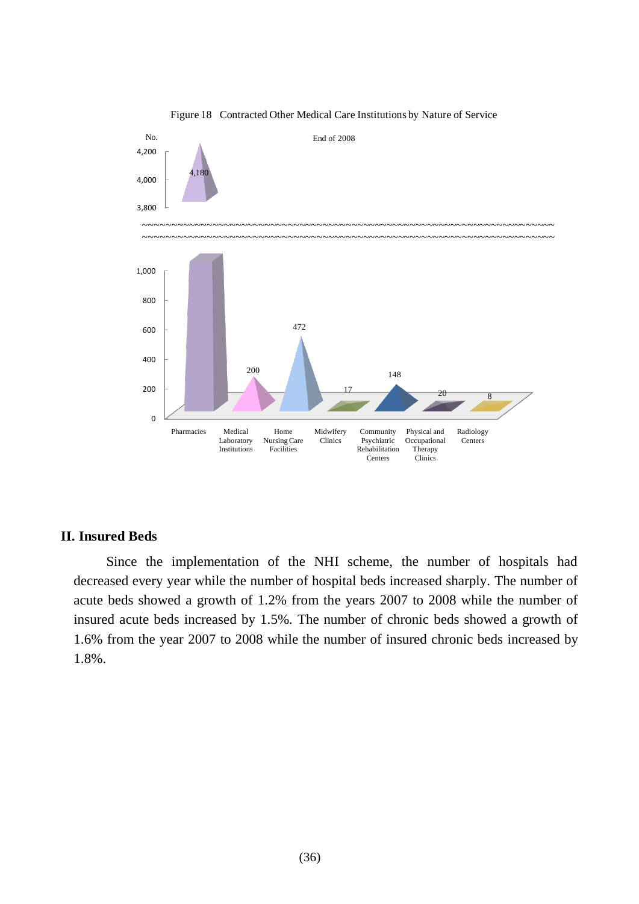

Figure 18 Contracted Other Medical Care Institutions by Nature of Service

### **II. Insured Beds**

Since the implementation of the NHI scheme, the number of hospitals had decreased every year while the number of hospital beds increased sharply. The number of acute beds showed a growth of 1.2% from the years 2007 to 2008 while the number of insured acute beds increased by 1.5%. The number of chronic beds showed a growth of 1.6% from the year 2007 to 2008 while the number of insured chronic beds increased by 1.8%.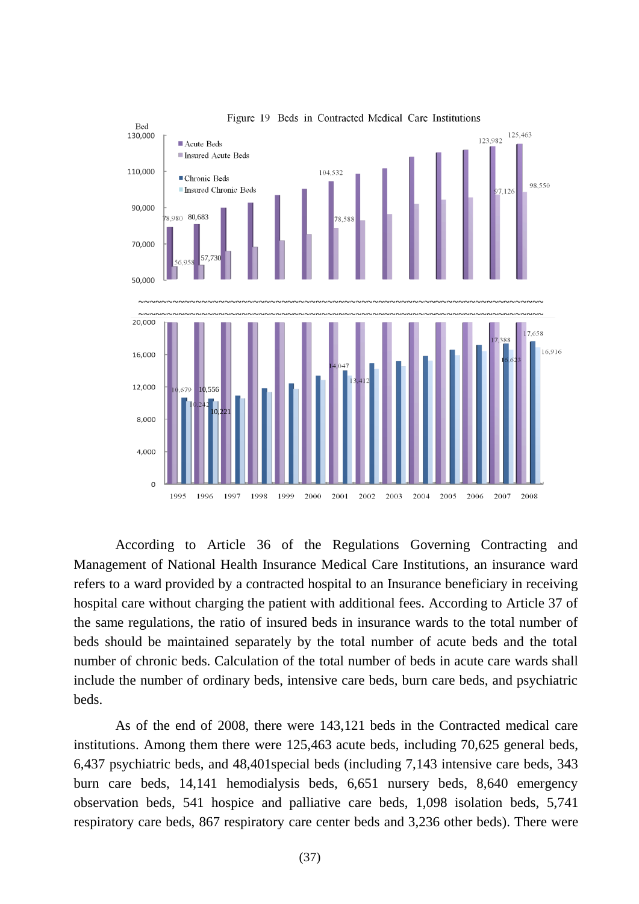

According to Article 36 of the Regulations Governing Contracting and Management of National Health Insurance Medical Care Institutions, an insurance ward refers to a ward provided by a contracted hospital to an Insurance beneficiary in receiving hospital care without charging the patient with additional fees. According to Article 37 of the same regulations, the ratio of insured beds in insurance wards to the total number of beds should be maintained separately by the total number of acute beds and the total number of chronic beds. Calculation of the total number of beds in acute care wards shall include the number of ordinary beds, intensive care beds, burn care beds, and psychiatric beds.

As of the end of 2008, there were 143,121 beds in the Contracted medical care institutions. Among them there were 125,463 acute beds, including 70,625 general beds, 6,437 psychiatric beds, and 48,401special beds (including 7,143 intensive care beds, 343 burn care beds, 14,141 hemodialysis beds, 6,651 nursery beds, 8,640 emergency observation beds, 541 hospice and palliative care beds, 1,098 isolation beds, 5,741 respiratory care beds, 867 respiratory care center beds and 3,236 other beds). There were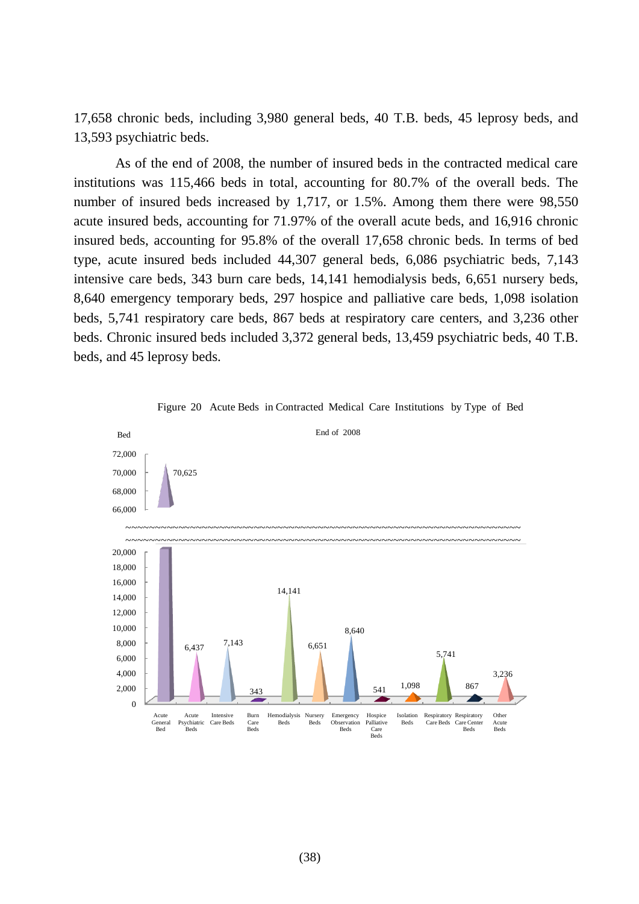17,658 chronic beds, including 3,980 general beds, 40 T.B. beds, 45 leprosy beds, and 13,593 psychiatric beds.

As of the end of 2008, the number of insured beds in the contracted medical care institutions was 115,466 beds in total, accounting for 80.7% of the overall beds. The number of insured beds increased by 1,717, or 1.5%. Among them there were 98,550 acute insured beds, accounting for 71.97% of the overall acute beds, and 16,916 chronic insured beds, accounting for 95.8% of the overall 17,658 chronic beds. In terms of bed type, acute insured beds included 44,307 general beds, 6,086 psychiatric beds, 7,143 intensive care beds, 343 burn care beds, 14,141 hemodialysis beds, 6,651 nursery beds, 8,640 emergency temporary beds, 297 hospice and palliative care beds, 1,098 isolation beds, 5,741 respiratory care beds, 867 beds at respiratory care centers, and 3,236 other beds. Chronic insured beds included 3,372 general beds, 13,459 psychiatric beds, 40 T.B. beds, and 45 leprosy beds.



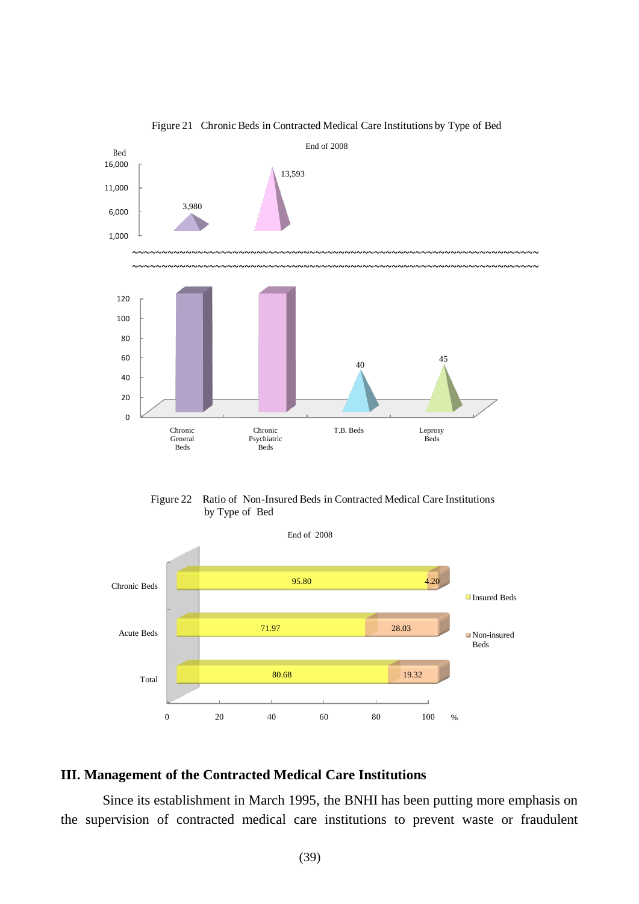

Figure 21 Chronic Beds in Contracted Medical Care Institutions by Type of Bed





# **III. Management of the Contracted Medical Care Institutions**

Since its establishment in March 1995, the BNHI has been putting more emphasis on the supervision of contracted medical care institutions to prevent waste or fraudulent